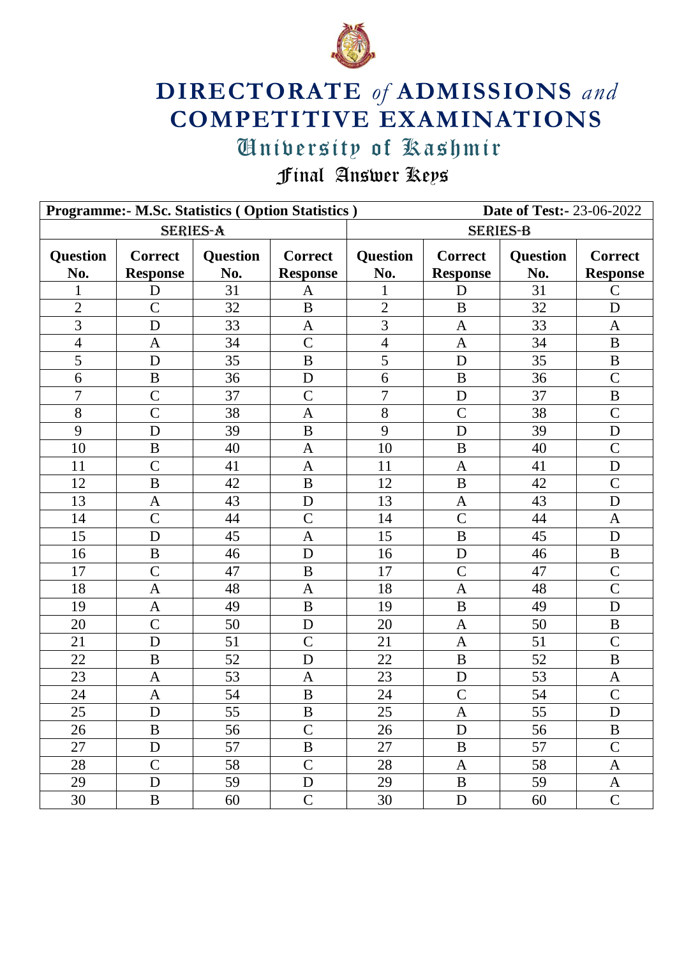

## **DIRECTORATE** *of* **ADMISSIONS** *and* **COMPETITIVE EXAMINATIONS**

## University of Kashmir  $U$ urisity ut  $X$ ashmit

Final Answer Keys

| Programme:- M.Sc. Statistics (Option Statistics)<br><b>Date of Test:-23-06-2022</b> |                                   |                        |                                   |                        |                                   |                        |                                   |  |
|-------------------------------------------------------------------------------------|-----------------------------------|------------------------|-----------------------------------|------------------------|-----------------------------------|------------------------|-----------------------------------|--|
| <b>SERIES-A</b>                                                                     |                                   |                        |                                   | <b>SERIES-B</b>        |                                   |                        |                                   |  |
| <b>Question</b><br>No.                                                              | <b>Correct</b><br><b>Response</b> | <b>Question</b><br>No. | <b>Correct</b><br><b>Response</b> | <b>Question</b><br>No. | <b>Correct</b><br><b>Response</b> | <b>Question</b><br>No. | <b>Correct</b><br><b>Response</b> |  |
| 1                                                                                   | D                                 | 31                     | A                                 |                        | D                                 | 31                     | $\mathbf C$                       |  |
| $\overline{2}$                                                                      | $\overline{C}$                    | 32                     | $\mathbf B$                       | $\overline{2}$         | $\bf{B}$                          | 32                     | D                                 |  |
| 3                                                                                   | D                                 | 33                     | $\mathbf{A}$                      | 3                      | $\mathbf{A}$                      | 33                     | $\mathbf{A}$                      |  |
| $\overline{4}$                                                                      | $\mathbf{A}$                      | 34                     | $\overline{C}$                    | $\overline{4}$         | $\mathbf{A}$                      | 34                     | $\bf{B}$                          |  |
| 5                                                                                   | D                                 | 35                     | $\bf{B}$                          | 5                      | D                                 | 35                     | $\, {\bf B}$                      |  |
| 6                                                                                   | $\bf{B}$                          | 36                     | D                                 | 6                      | $\bf{B}$                          | 36                     | $\mathcal{C}$                     |  |
| $\overline{7}$                                                                      | $\overline{C}$                    | 37                     | $\overline{C}$                    | $\overline{7}$         | D                                 | 37                     | $\, {\bf B}$                      |  |
| 8                                                                                   | $\overline{C}$                    | 38                     | $\mathbf{A}$                      | 8                      | $\overline{C}$                    | 38                     | $\mathcal{C}$                     |  |
| 9                                                                                   | D                                 | 39                     | $\bf{B}$                          | 9                      | D                                 | 39                     | D                                 |  |
| 10                                                                                  | $\mathbf B$                       | 40                     | $\mathbf{A}$                      | 10                     | $\bf{B}$                          | 40                     | $\overline{C}$                    |  |
| 11                                                                                  | $\overline{C}$                    | 41                     | $\overline{A}$                    | 11                     | $\mathbf{A}$                      | 41                     | D                                 |  |
| 12                                                                                  | $\mathbf B$                       | 42                     | $\, {\bf B}$                      | 12                     | B                                 | 42                     | $\mathcal{C}$                     |  |
| 13                                                                                  | $\mathbf{A}$                      | 43                     | D                                 | 13                     | $\mathbf{A}$                      | 43                     | $\mathbf D$                       |  |
| 14                                                                                  | $\overline{C}$                    | 44                     | $\mathcal{C}$                     | 14                     | $\overline{C}$                    | 44                     | $\mathbf{A}$                      |  |
| 15                                                                                  | D                                 | 45                     | $\mathbf{A}$                      | 15                     | $\bf{B}$                          | 45                     | D                                 |  |
| 16                                                                                  | $\mathbf B$                       | 46                     | D                                 | 16                     | D                                 | 46                     | $\bf{B}$                          |  |
| 17                                                                                  | $\overline{C}$                    | 47                     | $\, {\bf B}$                      | 17                     | $\overline{C}$                    | 47                     | $\overline{C}$                    |  |
| 18                                                                                  | $\mathbf{A}$                      | 48                     | $\mathbf{A}$                      | 18                     | $\mathbf{A}$                      | 48                     | $\mathcal{C}$                     |  |
| 19                                                                                  | $\mathbf{A}$                      | 49                     | B                                 | 19                     | B                                 | 49                     | D                                 |  |
| 20                                                                                  | $\overline{C}$                    | 50                     | D                                 | 20                     | $\mathbf{A}$                      | 50                     | $\, {\bf B}$                      |  |
| 21                                                                                  | D                                 | 51                     | $\mathcal{C}$                     | 21                     | $\mathbf{A}$                      | 51                     | $\mathcal{C}$                     |  |
| 22                                                                                  | $\bf{B}$                          | 52                     | D                                 | 22                     | $\bf{B}$                          | 52                     | $\bf{B}$                          |  |
| 23                                                                                  | $\mathbf{A}$                      | 53                     | $\mathbf{A}$                      | 23                     | D                                 | 53                     | $\mathbf{A}$                      |  |
| 24                                                                                  | $\mathbf{A}$                      | 54                     | $\bf{B}$                          | 24                     | $\mathcal{C}$                     | 54                     | $\mathcal{C}$                     |  |
| 25                                                                                  | ${\bf D}$                         | 55                     | $\, {\bf B}$                      | 25                     | $\mathbf{A}$                      | 55                     | ${\bf D}$                         |  |
| 26                                                                                  | B                                 | 56                     | $\mathbf C$                       | 26                     | D                                 | 56                     | B                                 |  |
| 27                                                                                  | $\mathbf D$                       | 57                     | B                                 | 27                     | B                                 | 57                     | $\mathcal{C}$                     |  |
| 28                                                                                  | $\mathcal{C}$                     | 58                     | $\mathbf C$                       | 28                     | $\mathbf{A}$                      | 58                     | $\mathbf{A}$                      |  |
| 29                                                                                  | D                                 | 59                     | $\mathbf D$                       | 29                     | B                                 | 59                     | A                                 |  |
| 30                                                                                  | $\bf{B}$                          | 60                     | $\mathsf{C}$                      | 30                     | $\mathbf{D}$                      | 60                     | $\mathbf C$                       |  |